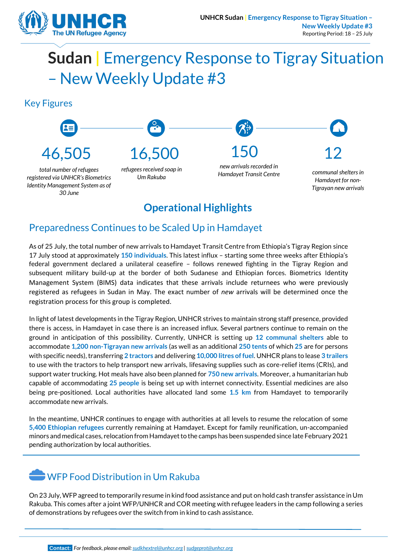

# **Sudan |** Emergency Response to Tigray Situation – New Weekly Update #3

#### Key Figures



#### **Operational Highlights**

#### Preparedness Continues to be Scaled Up in Hamdayet

As of 25 July, the total number of new arrivals to Hamdayet Transit Centre from Ethiopia's Tigray Region since 17 July stood at approximately **150 individuals**. This latest influx – starting some three weeks after Ethiopia's federal government declared a unilateral ceasefire – follows renewed fighting in the Tigray Region and subsequent military build-up at the border of both Sudanese and Ethiopian forces. Biometrics Identity Management System (BIMS) data indicates that these arrivals include returnees who were previously registered as refugees in Sudan in May. The exact number of *new* arrivals will be determined once the registration process for this group is completed.

In light of latest developments in the Tigray Region, UNHCR strives to maintain strong staff presence, provided there is access, in Hamdayet in case there is an increased influx. Several partners continue to remain on the ground in anticipation of this possibility. Currently, UNHCR is setting up **12 communal shelters** able to accommodate **1,200 non-Tigrayan new arrivals** (as well as an additional **250 tents** of which **25** are for persons with specific needs), transferring **2 tractors** and delivering **10,000 litres of fuel**. UNHCR plans to lease **3 trailers** to use with the tractors to help transport new arrivals, lifesaving supplies such as core-relief items (CRIs), and support water trucking. Hot meals have also been planned for **750 new arrivals**. Moreover, a humanitarian hub capable of accommodating **25 people** is being set up with internet connectivity. Essential medicines are also being pre-positioned. Local authorities have allocated land some **1.5 km** from Hamdayet to temporarily accommodate new arrivals.

In the meantime, UNHCR continues to engage with authorities at all levels to resume the relocation of some **5,400 Ethiopian refugees** currently remaining at Hamdayet. Except for family reunification, un-accompanied minors and medical cases, relocation from Hamdayet to the camps has been suspended since late February 2021 pending authorization by local authorities.

### WFP Food Distribution in Um Rakuba

On 23 July, WFP agreed to temporarily resume in kind food assistance and put on hold cash transfer assistance in Um Rakuba. This comes after a joint WFP/UNHCR and COR meeting with refugee leaders in the camp following a series of demonstrations by refugees over the switch from in kind to cash assistance.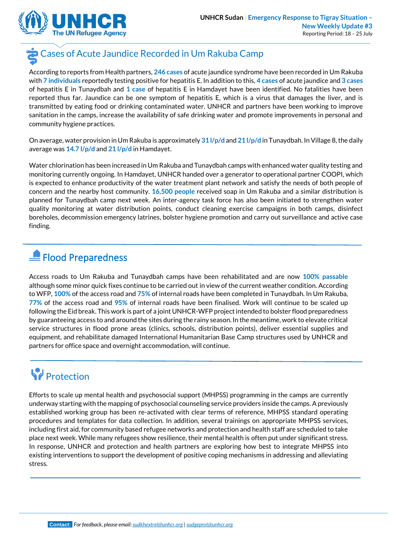

## Cases of Acute Jaundice Recorded in Um Rakuba Camp

According to reports from Health partners, **246 cases** of acute jaundice syndrome have been recorded in Um Rakuba with **7 individuals** reportedly testing positive for hepatitis E. In addition to this, **4 cases** of acute jaundice and **3 cases** of hepatitis E in Tunaydbah and **1 case** of hepatitis E in Hamdayet have been identified. No fatalities have been reported thus far. Jaundice can be one symptom of hepatitis E, which is a virus that damages the liver, and is transmitted by eating food or drinking contaminated water. UNHCR and partners have been working to improve sanitation in the camps, increase the availability of safe drinking water and promote improvements in personal and community hygiene practices.

On average, water provision in Um Rakuba is approximately **31 l/p/d** and **21 l/p/d** in Tunaydbah. In Village 8, the daily average was **14.7 l/p/d** and **21 l/p/d** in Hamdayet.

Water chlorination has been increased in Um Rakuba and Tunaydbah camps with enhanced water quality testing and monitoring currently ongoing. In Hamdayet, UNHCR handed over a generator to operational partner COOPI, which is expected to enhance productivity of the water treatment plant network and satisfy the needs of both people of concern and the nearby host community. **16,500 people** received soap in Um Rakuba and a similar distribution is planned for Tunaydbah camp next week. An inter-agency task force has also been initiated to strengthen water quality monitoring at water distribution points, conduct cleaning exercise campaigns in both camps, disinfect boreholes, decommission emergency latrines, bolster hygiene promotion and carry out surveillance and active case finding.

### Flood Preparedness

Access roads to Um Rakuba and Tunaydbah camps have been rehabilitated and are now **100% passable** although some minor quick fixes continue to be carried out in view of the current weather condition. According to WFP, **100%** of the access road and **75%** of internal roads have been completed in Tunaydbah. In Um Rakuba, **77%** of the access road and **95%** of internal roads have been finalised. Work will continue to be scaled up following the Eid break. This work is part of a joint UNHCR-WFP project intended to bolster flood preparedness by guaranteeing access to and around the sites during the rainy season. In the meantime, work to elevate critical service structures in flood prone areas (clinics, schools, distribution points), deliver essential supplies and equipment, and rehabilitate damaged International Humanitarian Base Camp structures used by UNHCR and partners for office space and overnight accommodation, will continue.

## **W** Protection

Efforts to scale up mental health and psychosocial support (MHPSS) programming in the camps are currently underway starting with the mapping of psychosocial counseling service providers inside the camps. A previously established working group has been re-activated with clear terms of reference, MHPSS standard operating procedures and templates for data collection. In addition, several trainings on appropriate MHPSS services, including first aid, for community based refugee networks and protection and health staff are scheduled to take place next week. While many refugees show resilience, their mental health is often put under significant stress. In response, UNHCR and protection and health partners are exploring how best to integrate MHPSS into existing interventions to support the development of positive coping mechanisms in addressing and alleviating stress.